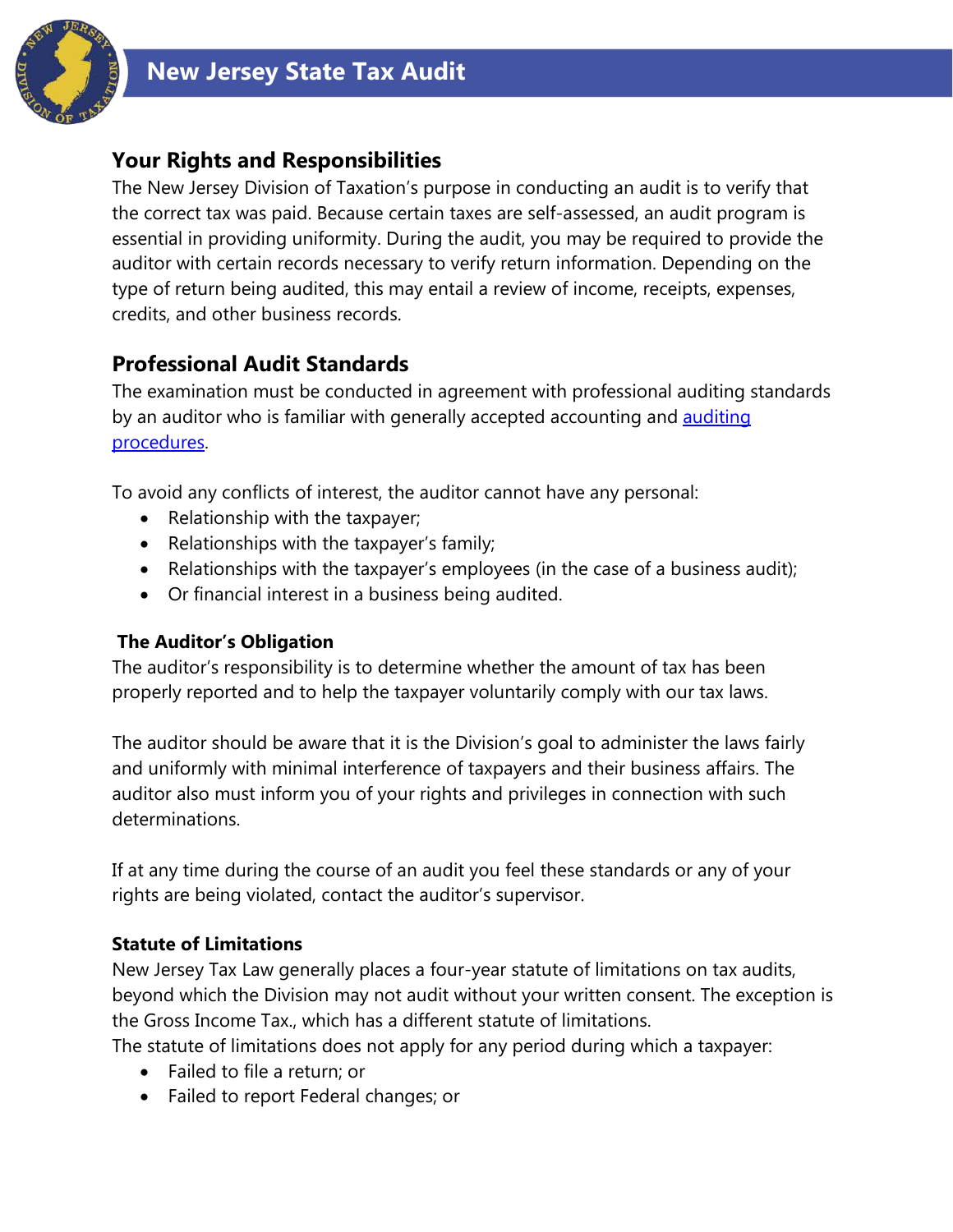

## **Your Rights and Responsibilities**

The New Jersey Division of Taxation's purpose in conducting an audit is to verify that the correct tax was paid. Because certain taxes are self-assessed, an audit program is essential in providing uniformity. During the audit, you may be required to provide the auditor with certain records necessary to verify return information. Depending on the type of return being audited, this may entail a review of income, receipts, expenses, credits, and other business records.

## **Professional Audit Standards**

The examination must be conducted in agreement with professional auditing standards by an auditor who is familiar with generally accepted accounting and **auditing** [procedures.](http://www.state.nj.us/treasury/taxation/pdf/njmap.pdf)

To avoid any conflicts of interest, the auditor cannot have any personal:

- Relationship with the taxpayer;
- Relationships with the taxpayer's family;
- Relationships with the taxpayer's employees (in the case of a business audit);
- Or financial interest in a business being audited.

### **The Auditor's Obligation**

The auditor's responsibility is to determine whether the amount of tax has been properly reported and to help the taxpayer voluntarily comply with our tax laws.

The auditor should be aware that it is the Division's goal to administer the laws fairly and uniformly with minimal interference of taxpayers and their business affairs. The auditor also must inform you of your rights and privileges in connection with such determinations.

If at any time during the course of an audit you feel these standards or any of your rights are being violated, contact the auditor's supervisor.

## **Statute of Limitations**

New Jersey Tax Law generally places a four-year statute of limitations on tax audits, beyond which the Division may not audit without your written consent. The exception is the Gross Income Tax., which has a different statute of limitations.

The statute of limitations does not apply for any period during which a taxpayer:

- Failed to file a return; or
- Failed to report Federal changes; or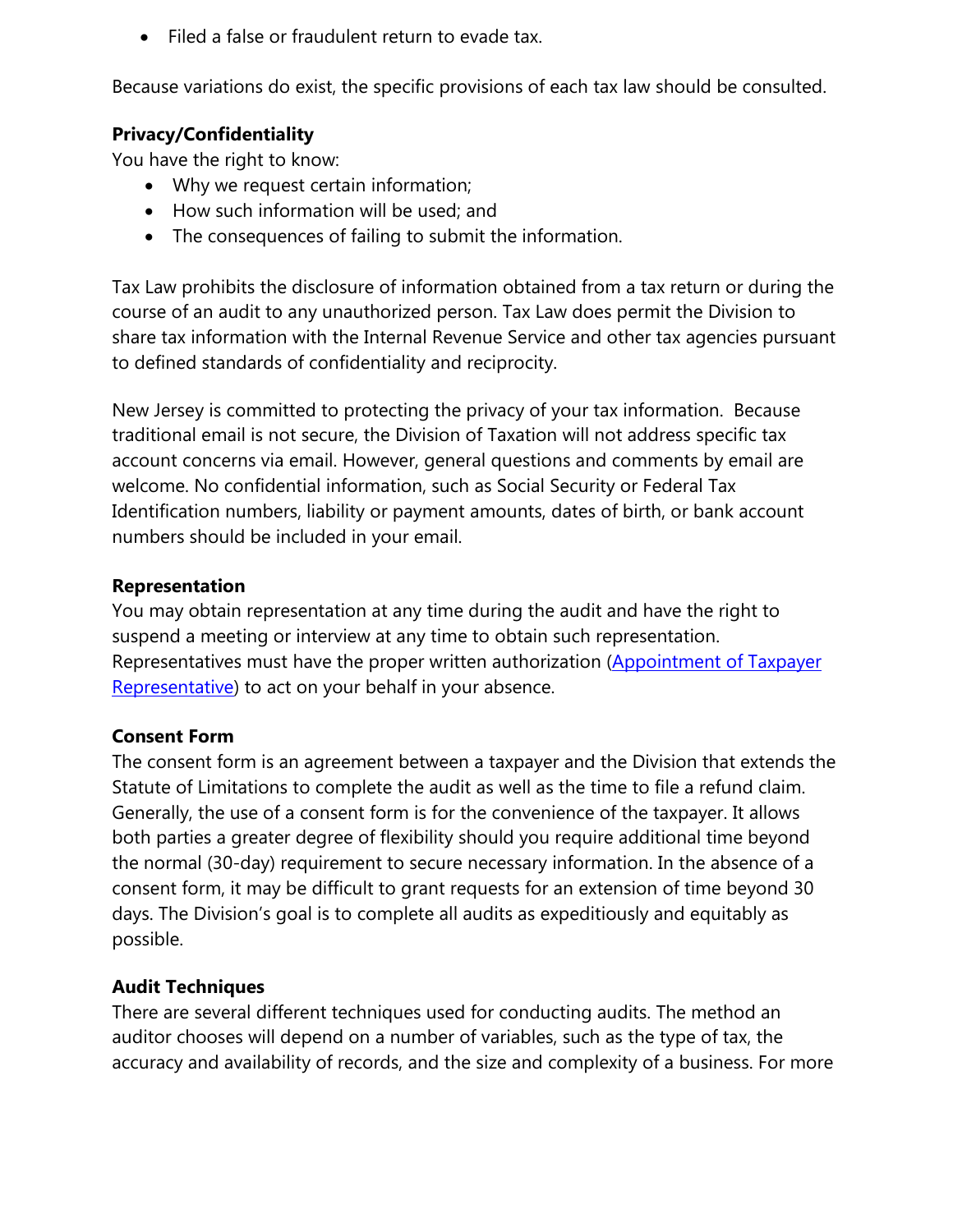• Filed a false or fraudulent return to evade tax.

Because variations do exist, the specific provisions of each tax law should be consulted.

#### **Privacy/Confidentiality**

You have the right to know:

- Why we request certain information;
- How such information will be used; and
- The consequences of failing to submit the information.

Tax Law prohibits the disclosure of information obtained from a tax return or during the course of an audit to any unauthorized person. Tax Law does permit the Division to share tax information with the Internal Revenue Service and other tax agencies pursuant to defined standards of confidentiality and reciprocity.

New Jersey is committed to protecting the privacy of your tax information. Because traditional email is not secure, the Division of Taxation will not address specific tax account concerns via email. However, general questions and comments by email are welcome. No confidential information, such as Social Security or Federal Tax Identification numbers, liability or payment amounts, dates of birth, or bank account numbers should be included in your email.

#### **Representation**

You may obtain representation at any time during the audit and have the right to suspend a meeting or interview at any time to obtain such representation. Representatives must have the proper written authorization (Appointment of Taxpayer [Representative\)](http://www.state.nj.us/treasury/taxation/prntpoa.shtml) to act on your behalf in your absence.

#### **Consent Form**

The consent form is an agreement between a taxpayer and the Division that extends the Statute of Limitations to complete the audit as well as the time to file a refund claim. Generally, the use of a consent form is for the convenience of the taxpayer. It allows both parties a greater degree of flexibility should you require additional time beyond the normal (30-day) requirement to secure necessary information. In the absence of a consent form, it may be difficult to grant requests for an extension of time beyond 30 days. The Division's goal is to complete all audits as expeditiously and equitably as possible.

### **Audit Techniques**

There are several different techniques used for conducting audits. The method an auditor chooses will depend on a number of variables, such as the type of tax, the accuracy and availability of records, and the size and complexity of a business. For more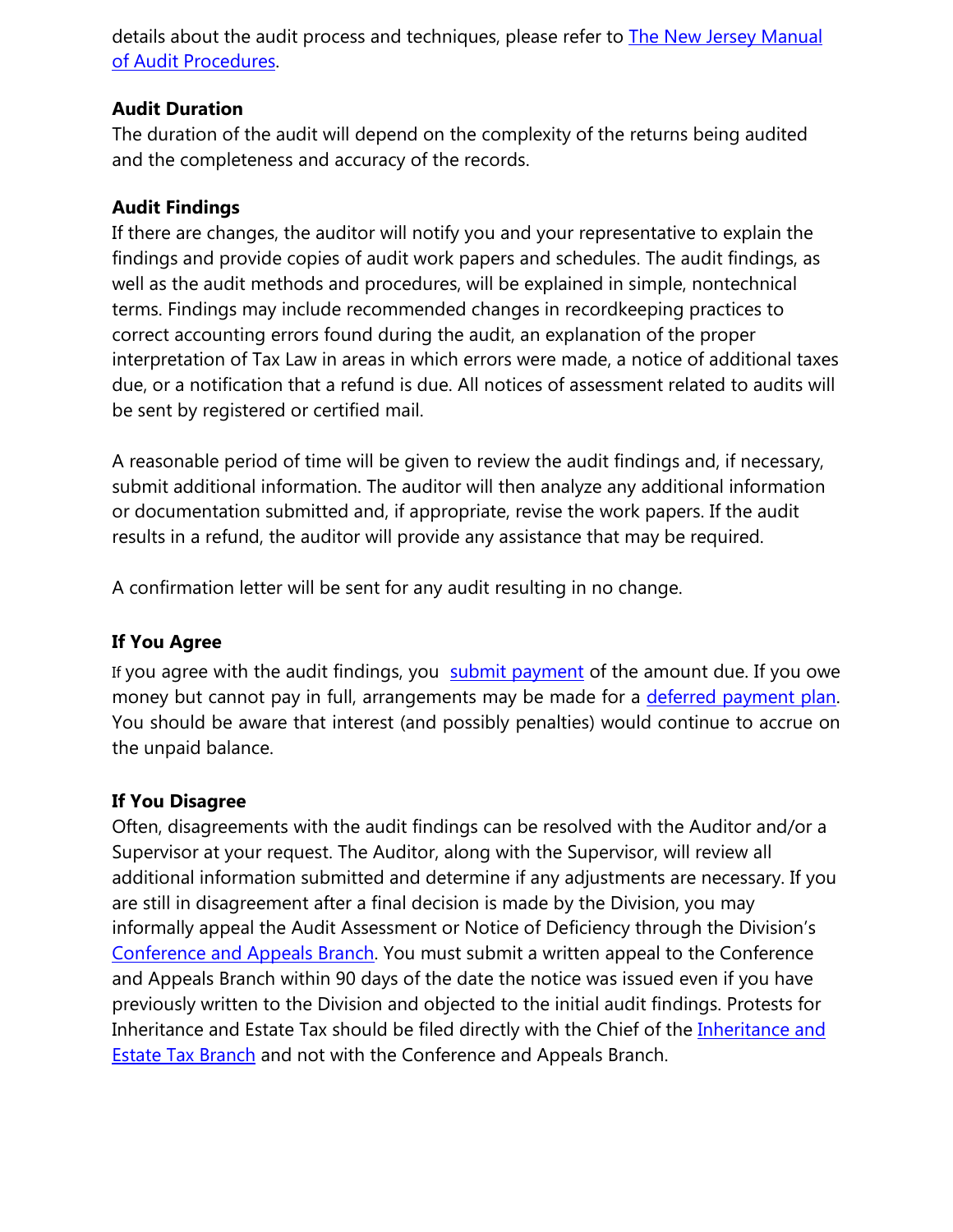details about the audit process and techniques, please refer to [The New Jersey Manual](http://www.state.nj.us/treasury/taxation/njmap.shtml)  [of Audit Procedures.](http://www.state.nj.us/treasury/taxation/njmap.shtml)

### **Audit Duration**

The duration of the audit will depend on the complexity of the returns being audited and the completeness and accuracy of the records.

### **Audit Findings**

If there are changes, the auditor will notify you and your representative to explain the findings and provide copies of audit work papers and schedules. The audit findings, as well as the audit methods and procedures, will be explained in simple, nontechnical terms. Findings may include recommended changes in recordkeeping practices to correct accounting errors found during the audit, an explanation of the proper interpretation of Tax Law in areas in which errors were made, a notice of additional taxes due, or a notification that a refund is due. All notices of assessment related to audits will be sent by registered or certified mail.

A reasonable period of time will be given to review the audit findings and, if necessary, submit additional information. The auditor will then analyze any additional information or documentation submitted and, if appropriate, revise the work papers. If the audit results in a refund, the auditor will provide any assistance that may be required.

A confirmation letter will be sent for any audit resulting in no change.

### **If You Agree**

If you agree with the audit findings, you [submit payment](https://www.state.nj.us/treasury/taxation/organization/audit.shtml) of the amount due. If you owe money but cannot pay in full, arrangements may be made for a [deferred payment plan.](https://www.state.nj.us/treasury/taxation/dpc.shtml) You should be aware that interest (and possibly penalties) would continue to accrue on the unpaid balance.

#### **If You Disagree**

Often, disagreements with the audit findings can be resolved with the Auditor and/or a Supervisor at your request. The Auditor, along with the Supervisor, will review all additional information submitted and determine if any adjustments are necessary. If you are still in disagreement after a final decision is made by the Division, you may informally appeal the Audit Assessment or Notice of Deficiency through the Division's [Conference and Appeals Branch.](http://www.state.nj.us/treasury/taxation/organization/confappl.shtml) You must submit a written appeal to the Conference and Appeals Branch within 90 days of the date the notice was issued even if you have previously written to the Division and objected to the initial audit findings. Protests for Inheritance and Estate Tax should be filed directly with the Chief of the Inheritance and **Estate Tax Branch** and not with the Conference and Appeals Branch.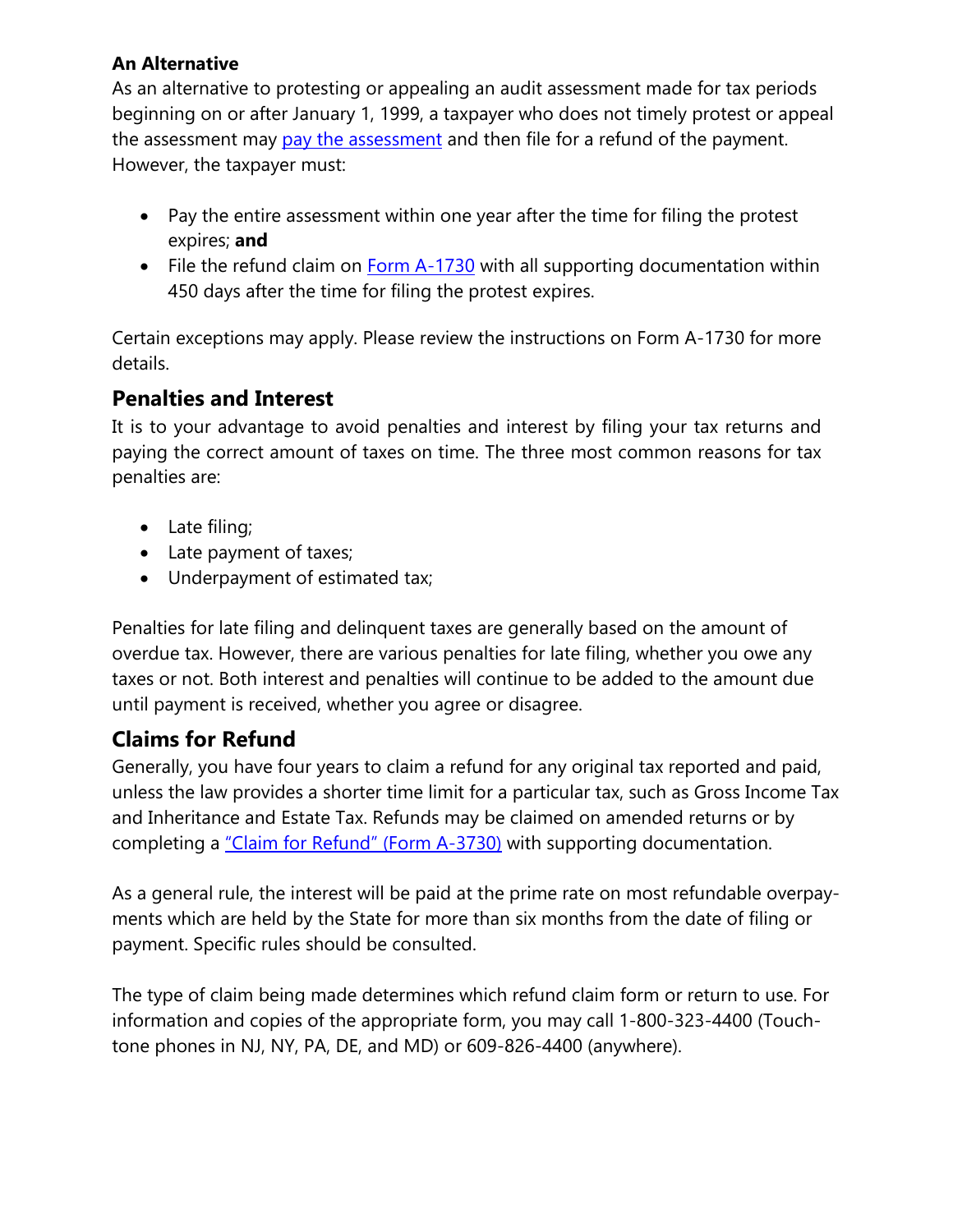### **An Alternative**

As an alternative to protesting or appealing an audit assessment made for tax periods beginning on or after January 1, 1999, a taxpayer who does not timely protest or appeal the assessment may [pay the assessment](https://www.state.nj.us/treasury/taxation/organization/audit.shtml) and then file for a refund of the payment. However, the taxpayer must:

- Pay the entire assessment within one year after the time for filing the protest expires; **and**
- File the refund claim on [Form A-1730](http://www.state.nj.us/treasury/taxation/a1730notice.shtml) with all supporting documentation within 450 days after the time for filing the protest expires.

Certain exceptions may apply. Please review the instructions on Form A-1730 for more details.

## **Penalties and Interest**

It is to your advantage to avoid penalties and interest by filing your tax returns and paying the correct amount of taxes on time. The three most common reasons for tax penalties are:

- Late filing;
- Late payment of taxes;
- Underpayment of estimated tax;

Penalties for late filing and delinquent taxes are generally based on the amount of overdue tax. However, there are various penalties for late filing, whether you owe any taxes or not. Both interest and penalties will continue to be added to the amount due until payment is received, whether you agree or disagree.

# **Claims for Refund**

Generally, you have four years to claim a refund for any original tax reported and paid, unless the law provides a shorter time limit for a particular tax, such as Gross Income Tax and Inheritance and Estate Tax. Refunds may be claimed on amended returns or by completing a ["Claim for Refund" \(Form A-3730\)](http://www.state.nj.us/treasury/taxation/pdf/other_forms/sales/a3730.pdf) with supporting documentation.

As a general rule, the interest will be paid at the prime rate on most refundable overpayments which are held by the State for more than six months from the date of filing or payment. Specific rules should be consulted.

The type of claim being made determines which refund claim form or return to use. For information and copies of the appropriate form, you may call 1-800-323-4400 (Touchtone phones in NJ, NY, PA, DE, and MD) or 609-826-4400 (anywhere).